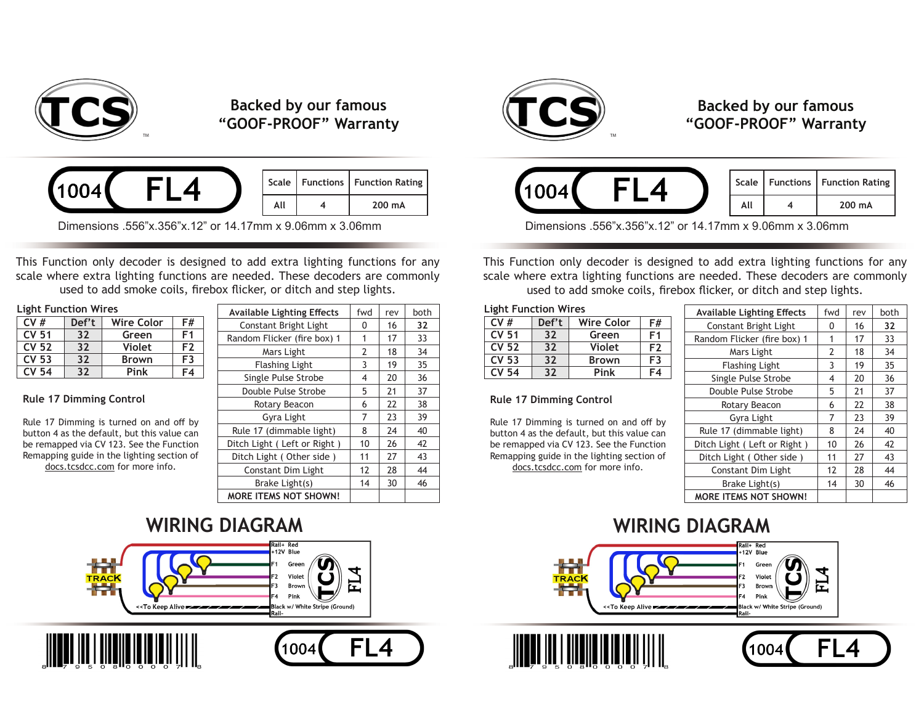

# **Backed by our famous "GOOF-PROOF" Warranty**



|     | Scale   Functions   Function Rating |
|-----|-------------------------------------|
| ΔIΙ | 200 mA                              |

Dimensions .556"x.356"x.12" or 14.17mm x 9.06mm x 3.06mm

This Function only decoder is designed to add extra lighting functions for any scale where extra lighting functions are needed. These decoders are commonly used to add smoke coils, firebox flicker, or ditch and step lights.

#### **Light Function Wires**

| CV#          | Def't | Wire Color    | F#             |
|--------------|-------|---------------|----------------|
|              |       |               |                |
| <b>CV 51</b> | 32    | Green         | F1             |
| <b>CV 52</b> | 32    | <b>Violet</b> | F <sub>2</sub> |
| <b>CV 53</b> | 32    | <b>Brown</b>  | F3             |
| <b>CV 54</b> | 32    | Pink          | F4             |

#### **Rule 17 Dimming Control**

Rule 17 Dimming is turned on and off by button 4 as the default, but this value can be remapped via CV 123. See the Function Remapping guide in the lighting section of docs.tcsdcc.com for more info.

| <b>Available Lighting Effects</b> | fwd | rev | both |
|-----------------------------------|-----|-----|------|
| Constant Bright Light             | 0   | 16  | 32   |
| Random Flicker (fire box) 1       | 1   | 17  | 33   |
| Mars Light                        | 2   | 18  | 34   |
| <b>Flashing Light</b>             | 3   | 19  | 35   |
| Single Pulse Strobe               | 4   | 20  | 36   |
| Double Pulse Strobe               | 5   | 21  | 37   |
| Rotary Beacon                     | 6   | 22  | 38   |
| Gyra Light                        | 7   | 23  | 39   |
| Rule 17 (dimmable light)          | 8   | 24  | 40   |
| Ditch Light (Left or Right)       | 10  | 26  | 42   |
| Ditch Light (Other side)          | 11  | 27  | 43   |
| <b>Constant Dim Light</b>         | 12  | 28  | 44   |
| Brake Light(s)                    | 14  | 30  | 46   |
| <b>MORE ITEMS NOT SHOWN!</b>      |     |     |      |









# **Backed by our famous "GOOF-PROOF" Warranty**



|    | Scale   Functions   Function Rating |
|----|-------------------------------------|
| ΔH | 200 mA                              |

Dimensions .556"x.356"x.12" or 14.17mm x 9.06mm x 3.06mm

This Function only decoder is designed to add extra lighting functions for any scale where extra lighting functions are needed. These decoders are commonly used to add smoke coils, firebox flicker, or ditch and step lights.

#### **Light Function Wires**

| CV#          | Def't | <b>Wire Color</b> | F#             |
|--------------|-------|-------------------|----------------|
| <b>CV 51</b> | 32    | Green             | F1             |
| <b>CV 52</b> | 32    | <b>Violet</b>     | F <sub>2</sub> |
| <b>CV 53</b> | 32    | <b>Brown</b>      | F3             |
| CV 54        | 32    | Pink              | F4             |

#### **Rule 17 Dimming Control**

Rule 17 Dimming is turned on and off by button 4 as the default, but this value can be remapped via CV 123. See the Function Remapping guide in the lighting section of docs.tcsdcc.com for more info.

| <b>Available Lighting Effects</b> | fwd | rev | both |
|-----------------------------------|-----|-----|------|
| Constant Bright Light             | 0   | 16  | 32   |
| Random Flicker (fire box) 1       | 1   | 17  | 33   |
| Mars Light                        | 2   | 18  | 34   |
| <b>Flashing Light</b>             | 3   | 19  | 35   |
| Single Pulse Strobe               | 4   | 20  | 36   |
| Double Pulse Strobe               | 5   | 21  | 37   |
| Rotary Beacon                     | 6   | 22  | 38   |
| Gyra Light                        | 7   | 23  | 39   |
| Rule 17 (dimmable light)          | 8   | 24  | 40   |
| Ditch Light (Left or Right)       | 10  | 26  | 42   |
| Ditch Light (Other side)          | 11  | 27  | 43   |
| Constant Dim Light                | 12  | 28  | 44   |
| Brake Light(s)                    | 14  | 30  | 46   |
| <b>MORE ITEMS NOT SHOWN!</b>      |     |     |      |

FL4

1004